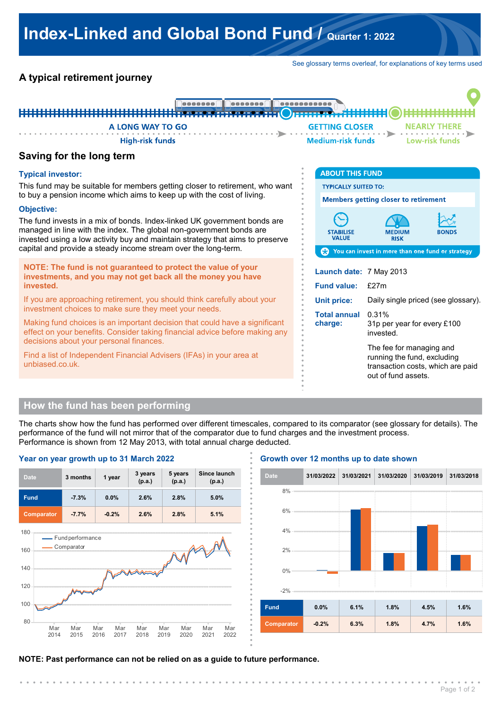# **Index-Linked and Global Bond Fund / Quarter 1: 2022**

See glossary terms overleaf, for explanations of key terms used

# **A typical retirement journey**



**. . . . . . . . . . . . . . . .**

**. . . . . . . . . . . . . . . .**

**. . . . . . . . . . . . . . . .**

# **Saving for the long term**

#### **Typical investor:**

This fund may be suitable for members getting closer to retirement, who want to buy a pension income which aims to keep up with the cost of living.

#### **Objective:**

The fund invests in a mix of bonds. Index-linked UK government bonds are managed in line with the index. The global non-government bonds are invested using a low activity buy and maintain strategy that aims to preserve capital and provide a steady income stream over the long-term.

**NOTE: The fund is not guaranteed to protect the value of your investments, and you may not get back all the money you have invested.**

If you are approaching retirement, you should think carefully about your investment choices to make sure they meet your needs.

Making fund choices is an important decision that could have a significant effect on your benefits. Consider taking financial advice before making any decisions about your personal finances.

Find a list of Independent Financial Advisers (IFAs) in your area at unbiased.co.uk.

| <b>ABOUT THIS FUND</b>                                     |                                                                                                                     |       |  |
|------------------------------------------------------------|---------------------------------------------------------------------------------------------------------------------|-------|--|
| <b>TYPICALLY SUITED TO:</b>                                |                                                                                                                     |       |  |
| <b>Members getting closer to retirement</b>                |                                                                                                                     |       |  |
| <b>STABILISE</b><br><b>VALUE</b>                           | MEDIUM<br><b>RISK</b>                                                                                               | RONDS |  |
| <b>CO</b> You can invest in more than one fund or strategy |                                                                                                                     |       |  |
| Launch date: 7 May 2013                                    |                                                                                                                     |       |  |
| <b>Fund value:</b>                                         | f27m                                                                                                                |       |  |
| <b>Unit price:</b>                                         | Daily single priced (see glossary).                                                                                 |       |  |
| <b>Total annual</b><br>charge:                             | 0.31%<br>31p per year for every £100<br>invested                                                                    |       |  |
|                                                            | The fee for managing and<br>running the fund, excluding<br>transaction costs, which are paid<br>out of fund assets. |       |  |

# **How the fund has been performing**

The charts show how the fund has performed over different timescales, compared to its comparator (see glossary for details). The performance of the fund will not mirror that of the comparator due to fund charges and the investment process. Performance is shown from 12 May 2013, with total annual charge deducted. **.**



#### **Growth over 12 months up to date shown**



**NOTE: Past performance can not be relied on as a guide to future performance.**